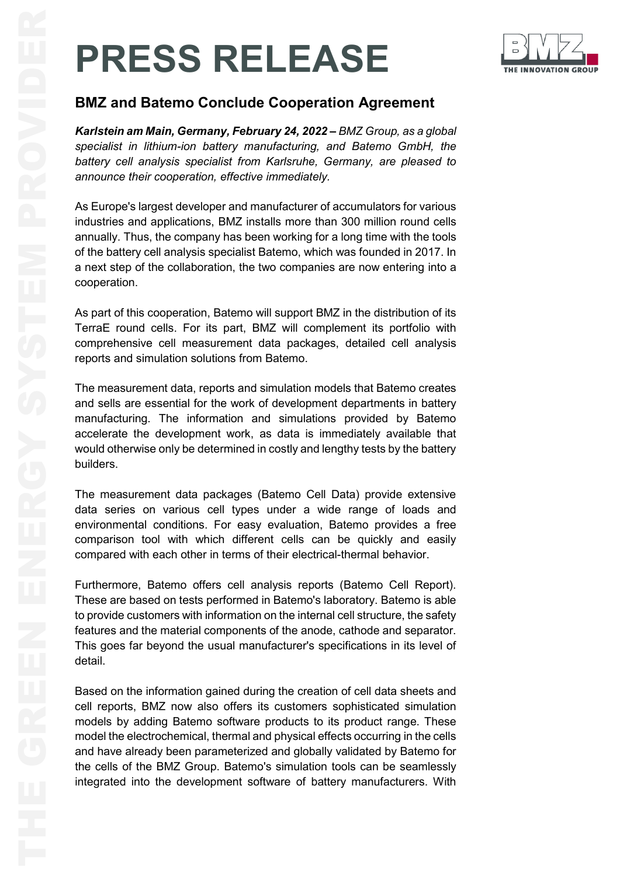# **PRESS RELEASE**



*Karlstein am Main, Germany, February 24, 2022 – BMZ Group, as a global specialist in lithium-ion battery manufacturing, and Batemo GmbH, the battery cell analysis specialist from Karlsruhe, Germany, are pleased to announce their cooperation, effective immediately.*

As Europe's largest developer and manufacturer of accumulators for various industries and applications, BMZ installs more than 300 million round cells annually. Thus, the company has been working for a long time with the tools of the battery cell analysis specialist Batemo, which was founded in 2017. In a next step of the collaboration, the two companies are now entering into a cooperation.

As part of this cooperation, Batemo will support BMZ in the distribution of its TerraE round cells. For its part, BMZ will complement its portfolio with comprehensive cell measurement data packages, detailed cell analysis reports and simulation solutions from Batemo.

The measurement data, reports and simulation models that Batemo creates and sells are essential for the work of development departments in battery manufacturing. The information and simulations provided by Batemo accelerate the development work, as data is immediately available that would otherwise only be determined in costly and lengthy tests by the battery builders.

The measurement data packages (Batemo Cell Data) provide extensive data series on various cell types under a wide range of loads and environmental conditions. For easy evaluation, Batemo provides a free comparison tool with which different cells can be quickly and easily compared with each other in terms of their electrical-thermal behavior.

Furthermore, Batemo offers cell analysis reports (Batemo Cell Report). These are based on tests performed in Batemo's laboratory. Batemo is able to provide customers with information on the internal cell structure, the safety features and the material components of the anode, cathode and separator. This goes far beyond the usual manufacturer's specifications in its level of detail.

**ENERGISS RELEASE**<br>
BMZ and Batemo Conclude Cooperation Agreement<br>
Karlstein am Main, Germany, February 24, 2022–BMZ Group, as a given<br>
specialist in Whilm-ion batemary, rechurancy 24, 2022–BMZ Group, as a given<br>
bately ce Based on the information gained during the creation of cell data sheets and cell reports, BMZ now also offers its customers sophisticated simulation models by adding Batemo software products to its product range. These model the electrochemical, thermal and physical effects occurring in the cells and have already been parameterized and globally validated by Batemo for the cells of the BMZ Group. Batemo's simulation tools can be seamlessly integrated into the development software of battery manufacturers. With